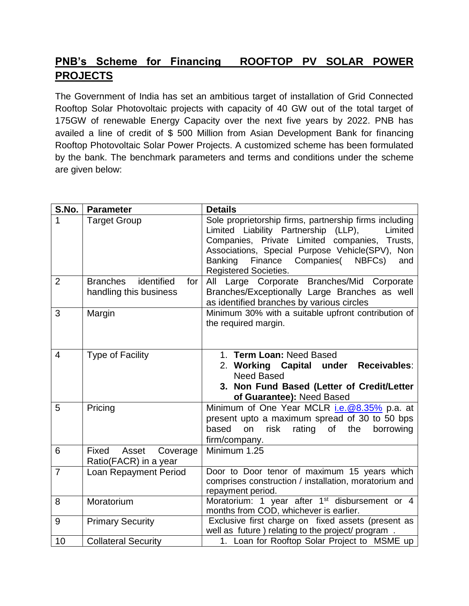## **PNB's Scheme for Financing ROOFTOP PV SOLAR POWER PROJECTS**

The Government of India has set an ambitious target of installation of Grid Connected Rooftop Solar Photovoltaic projects with capacity of 40 GW out of the total target of 175GW of renewable Energy Capacity over the next five years by 2022. PNB has availed a line of credit of \$ 500 Million from Asian Development Bank for financing Rooftop Photovoltaic Solar Power Projects. A customized scheme has been formulated by the bank. The benchmark parameters and terms and conditions under the scheme are given below:

| S.No.          | <b>Parameter</b>                                               | <b>Details</b>                                                                                                                                                                                                                                                                                                  |
|----------------|----------------------------------------------------------------|-----------------------------------------------------------------------------------------------------------------------------------------------------------------------------------------------------------------------------------------------------------------------------------------------------------------|
| 1              | <b>Target Group</b>                                            | Sole proprietorship firms, partnership firms including<br>Limited Liability Partnership (LLP),<br>Limited<br>Companies, Private Limited companies,<br>Trusts,<br>Associations, Special Purpose Vehicle(SPV),<br>Non<br>Finance<br>Companies(<br><b>Banking</b><br>NBFCs)<br>and<br><b>Registered Societies.</b> |
| $\overline{2}$ | identified<br><b>Branches</b><br>for<br>handling this business | All Large Corporate Branches/Mid Corporate<br>Branches/Exceptionally Large Branches as well<br>as identified branches by various circles                                                                                                                                                                        |
| 3              | Margin                                                         | Minimum 30% with a suitable upfront contribution of<br>the required margin.                                                                                                                                                                                                                                     |
| $\overline{4}$ | <b>Type of Facility</b>                                        | 1. Term Loan: Need Based<br>2. Working Capital under Receivables:<br><b>Need Based</b><br>3. Non Fund Based (Letter of Credit/Letter<br>of Guarantee): Need Based                                                                                                                                               |
| 5              | Pricing                                                        | Minimum of One Year MCLR <i>i.e.@8.35%</i> p.a. at<br>present upto a maximum spread of 30 to 50 bps<br>the<br>based<br>on<br>risk rating of<br>borrowing<br>firm/company.                                                                                                                                       |
| 6              | Fixed Asset Coverage<br>Ratio(FACR) in a year                  | Minimum 1.25                                                                                                                                                                                                                                                                                                    |
| $\overline{7}$ | <b>Loan Repayment Period</b>                                   | Door to Door tenor of maximum 15 years which<br>comprises construction / installation, moratorium and<br>repayment period.                                                                                                                                                                                      |
| 8              | Moratorium                                                     | Moratorium: 1 year after 1 <sup>st</sup> disbursement or 4<br>months from COD, whichever is earlier.                                                                                                                                                                                                            |
| 9              | <b>Primary Security</b>                                        | Exclusive first charge on fixed assets (present as<br>well as future) relating to the project/ program .                                                                                                                                                                                                        |
| 10             | <b>Collateral Security</b>                                     | 1. Loan for Rooftop Solar Project to MSME up                                                                                                                                                                                                                                                                    |